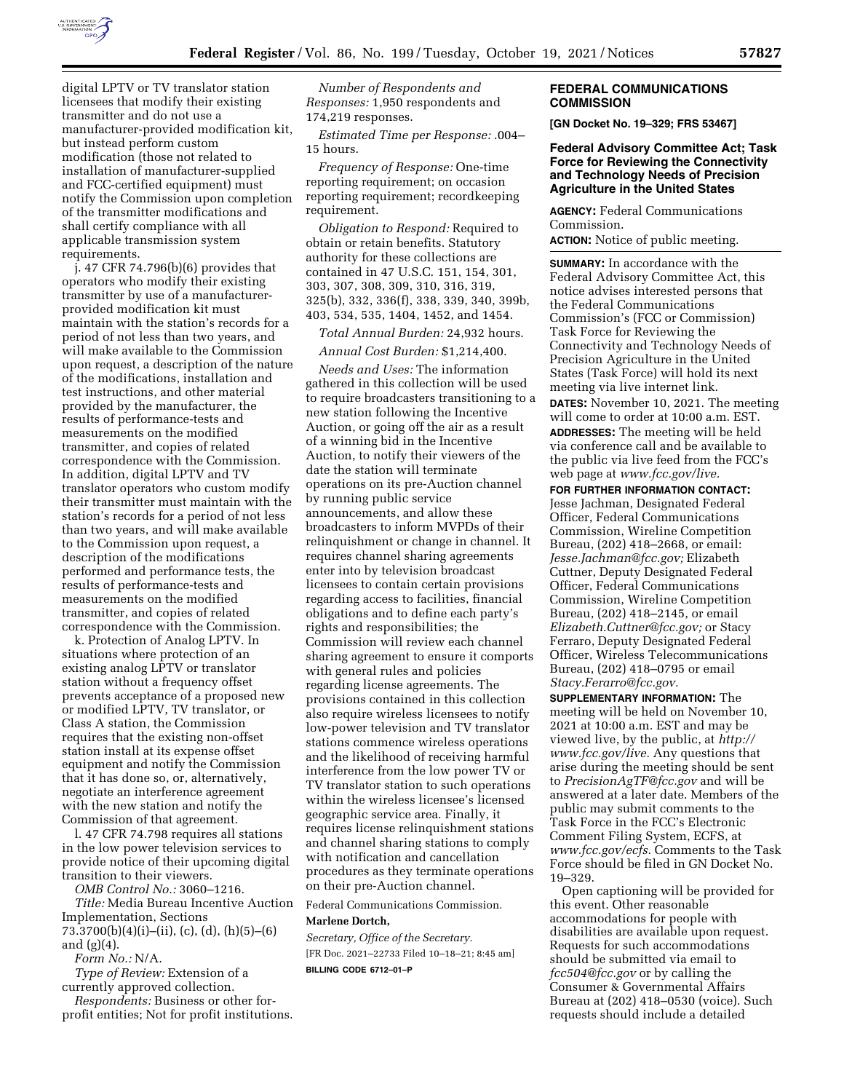

digital LPTV or TV translator station licensees that modify their existing transmitter and do not use a manufacturer-provided modification kit, but instead perform custom modification (those not related to installation of manufacturer-supplied and FCC-certified equipment) must notify the Commission upon completion of the transmitter modifications and shall certify compliance with all applicable transmission system requirements.

j. 47 CFR 74.796(b)(6) provides that operators who modify their existing transmitter by use of a manufacturerprovided modification kit must maintain with the station's records for a period of not less than two years, and will make available to the Commission upon request, a description of the nature of the modifications, installation and test instructions, and other material provided by the manufacturer, the results of performance-tests and measurements on the modified transmitter, and copies of related correspondence with the Commission. In addition, digital LPTV and TV translator operators who custom modify their transmitter must maintain with the station's records for a period of not less than two years, and will make available to the Commission upon request, a description of the modifications performed and performance tests, the results of performance-tests and measurements on the modified transmitter, and copies of related correspondence with the Commission.

k. Protection of Analog LPTV. In situations where protection of an existing analog LPTV or translator station without a frequency offset prevents acceptance of a proposed new or modified LPTV, TV translator, or Class A station, the Commission requires that the existing non-offset station install at its expense offset equipment and notify the Commission that it has done so, or, alternatively, negotiate an interference agreement with the new station and notify the Commission of that agreement.

l. 47 CFR 74.798 requires all stations in the low power television services to provide notice of their upcoming digital transition to their viewers.

*OMB Control No.:* 3060–1216.

*Title:* Media Bureau Incentive Auction Implementation, Sections 73.3700(b)(4)(i)–(ii), (c), (d), (h)(5)–(6) and  $(g)(4)$ .

*Form No.:* N/A.

*Type of Review:* Extension of a currently approved collection.

*Respondents:* Business or other forprofit entities; Not for profit institutions.

*Number of Respondents and Responses:* 1,950 respondents and 174,219 responses.

*Estimated Time per Response:* .004– 15 hours.

*Frequency of Response:* One-time reporting requirement; on occasion reporting requirement; recordkeeping requirement.

*Obligation to Respond:* Required to obtain or retain benefits. Statutory authority for these collections are contained in 47 U.S.C. 151, 154, 301, 303, 307, 308, 309, 310, 316, 319, 325(b), 332, 336(f), 338, 339, 340, 399b, 403, 534, 535, 1404, 1452, and 1454.

*Total Annual Burden:* 24,932 hours.

*Annual Cost Burden:* \$1,214,400.

*Needs and Uses:* The information gathered in this collection will be used to require broadcasters transitioning to a new station following the Incentive Auction, or going off the air as a result of a winning bid in the Incentive Auction, to notify their viewers of the date the station will terminate operations on its pre-Auction channel by running public service announcements, and allow these broadcasters to inform MVPDs of their relinquishment or change in channel. It requires channel sharing agreements enter into by television broadcast licensees to contain certain provisions regarding access to facilities, financial obligations and to define each party's rights and responsibilities; the Commission will review each channel sharing agreement to ensure it comports with general rules and policies regarding license agreements. The provisions contained in this collection also require wireless licensees to notify low-power television and TV translator stations commence wireless operations and the likelihood of receiving harmful interference from the low power TV or TV translator station to such operations within the wireless licensee's licensed geographic service area. Finally, it requires license relinquishment stations and channel sharing stations to comply with notification and cancellation procedures as they terminate operations on their pre-Auction channel.

Federal Communications Commission.

#### **Marlene Dortch,**

*Secretary, Office of the Secretary.*  [FR Doc. 2021–22733 Filed 10–18–21; 8:45 am] **BILLING CODE 6712–01–P** 

#### **FEDERAL COMMUNICATIONS COMMISSION**

**[GN Docket No. 19–329; FRS 53467]** 

### **Federal Advisory Committee Act; Task Force for Reviewing the Connectivity and Technology Needs of Precision Agriculture in the United States**

**AGENCY:** Federal Communications Commission. **ACTION:** Notice of public meeting.

**SUMMARY:** In accordance with the Federal Advisory Committee Act, this notice advises interested persons that the Federal Communications Commission's (FCC or Commission) Task Force for Reviewing the Connectivity and Technology Needs of Precision Agriculture in the United States (Task Force) will hold its next meeting via live internet link. **DATES:** November 10, 2021. The meeting will come to order at 10:00 a.m. EST. **ADDRESSES:** The meeting will be held via conference call and be available to the public via live feed from the FCC's web page at *[www.fcc.gov/live.](http://www.fcc.gov/live)* 

**FOR FURTHER INFORMATION CONTACT:** 

Jesse Jachman, Designated Federal Officer, Federal Communications Commission, Wireline Competition Bureau, (202) 418–2668, or email: *[Jesse.Jachman@fcc.gov;](mailto:Jesse.Jachman@fcc.gov)* Elizabeth Cuttner, Deputy Designated Federal Officer, Federal Communications Commission, Wireline Competition Bureau, (202) 418–2145, or email *[Elizabeth.Cuttner@fcc.gov;](mailto:Elizabeth.Cuttner@fcc.gov)* or Stacy Ferraro, Deputy Designated Federal Officer, Wireless Telecommunications Bureau, (202) 418–0795 or email *[Stacy.Ferarro@fcc.gov.](mailto:Stacy.Ferarro@fcc.gov)* 

**SUPPLEMENTARY INFORMATION:** The meeting will be held on November 10, 2021 at 10:00 a.m. EST and may be viewed live, by the public, at *[http://](http://www.fcc.gov/live) [www.fcc.gov/live.](http://www.fcc.gov/live)* Any questions that arise during the meeting should be sent to *[PrecisionAgTF@fcc.gov](mailto:PrecisionAgTF@fcc.gov)* and will be answered at a later date. Members of the public may submit comments to the Task Force in the FCC's Electronic Comment Filing System, ECFS, at *[www.fcc.gov/ecfs.](http://www.fcc.gov/ecfs)* Comments to the Task Force should be filed in GN Docket No. 19–329.

Open captioning will be provided for this event. Other reasonable accommodations for people with disabilities are available upon request. Requests for such accommodations should be submitted via email to *[fcc504@fcc.gov](mailto:fcc504@fcc.gov)* or by calling the Consumer & Governmental Affairs Bureau at (202) 418–0530 (voice). Such requests should include a detailed